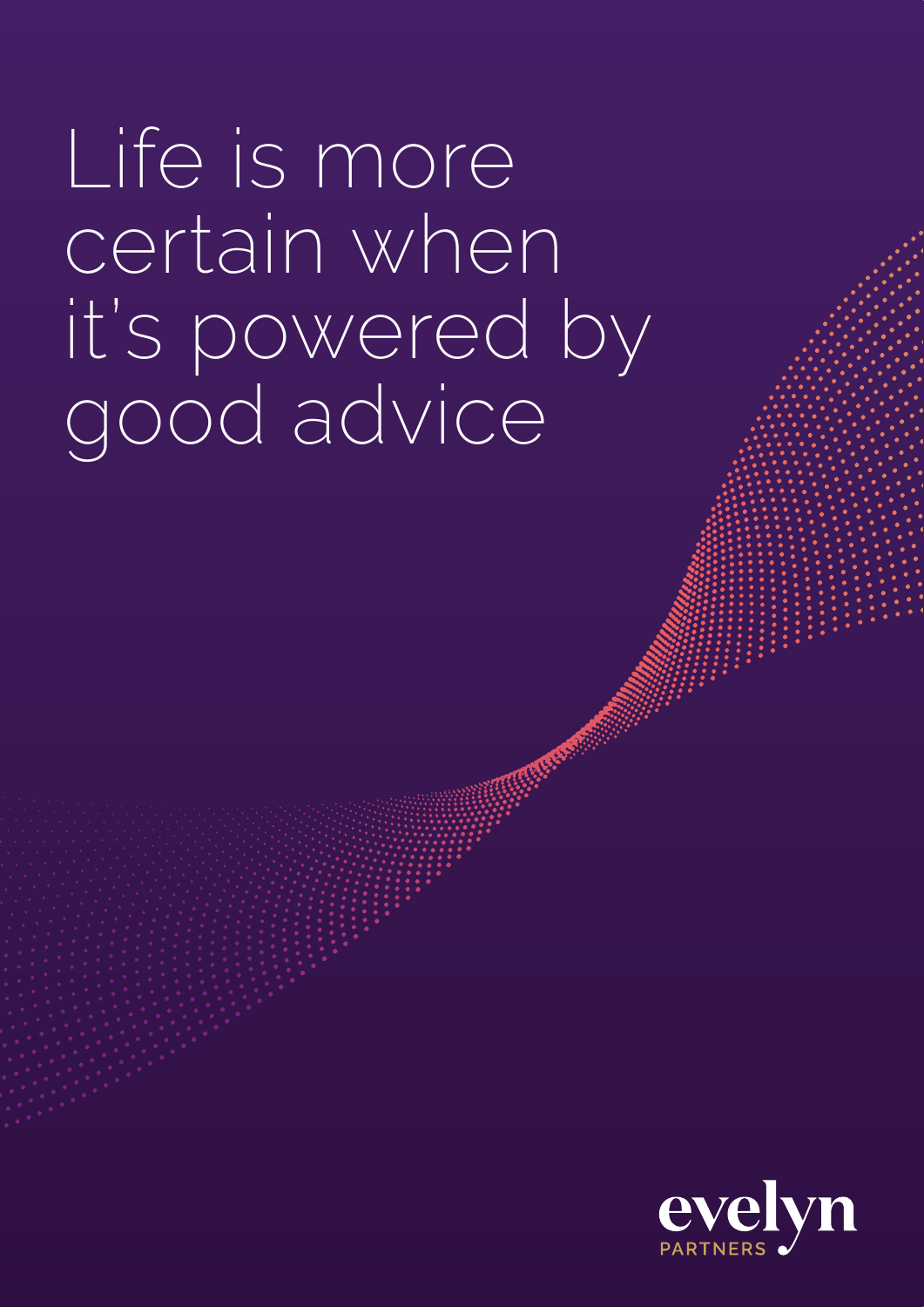Life is more certain when it's powered by good advice



REAL PROPERTY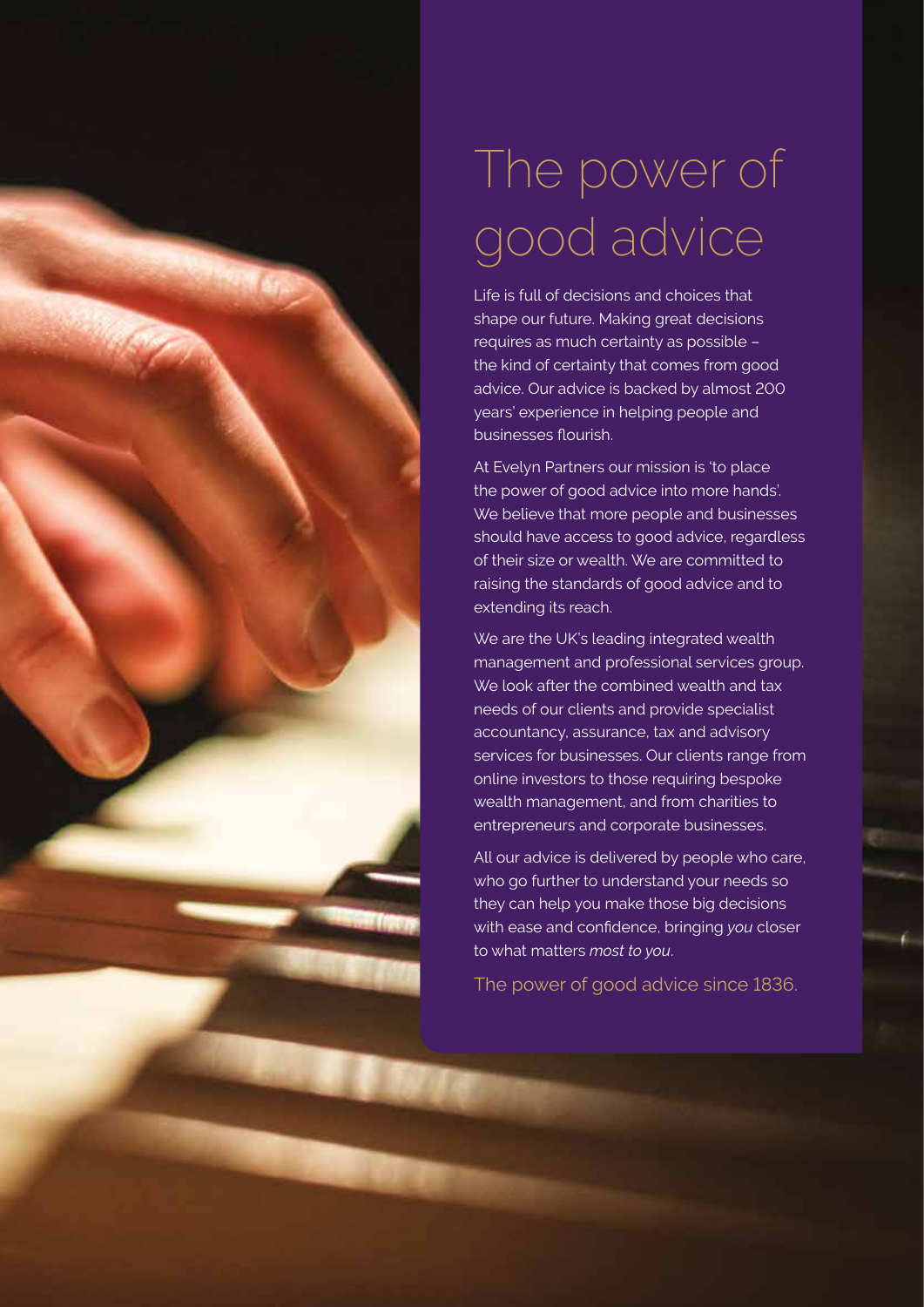

# The power of good advice

Life is full of decisions and choices that shape our future. Making great decisions requires as much certainty as possible – the kind of certainty that comes from good advice. Our advice is backed by almost 200 years' experience in helping people and businesses flourish.

At Evelyn Partners our mission is 'to place the power of good advice into more hands'. We believe that more people and businesses should have access to good advice, regardless of their size or wealth. We are committed to raising the standards of good advice and to extending its reach.

We are the UK's leading integrated wealth management and professional services group. We look after the combined wealth and tax needs of our clients and provide specialist accountancy, assurance, tax and advisory services for businesses. Our clients range from online investors to those requiring bespoke wealth management, and from charities to entrepreneurs and corporate businesses.

All our advice is delivered by people who care, who go further to understand your needs so they can help you make those big decisions with ease and confidence, bringing *you* closer to what matters *most to you*.

The power of good advice since 1836.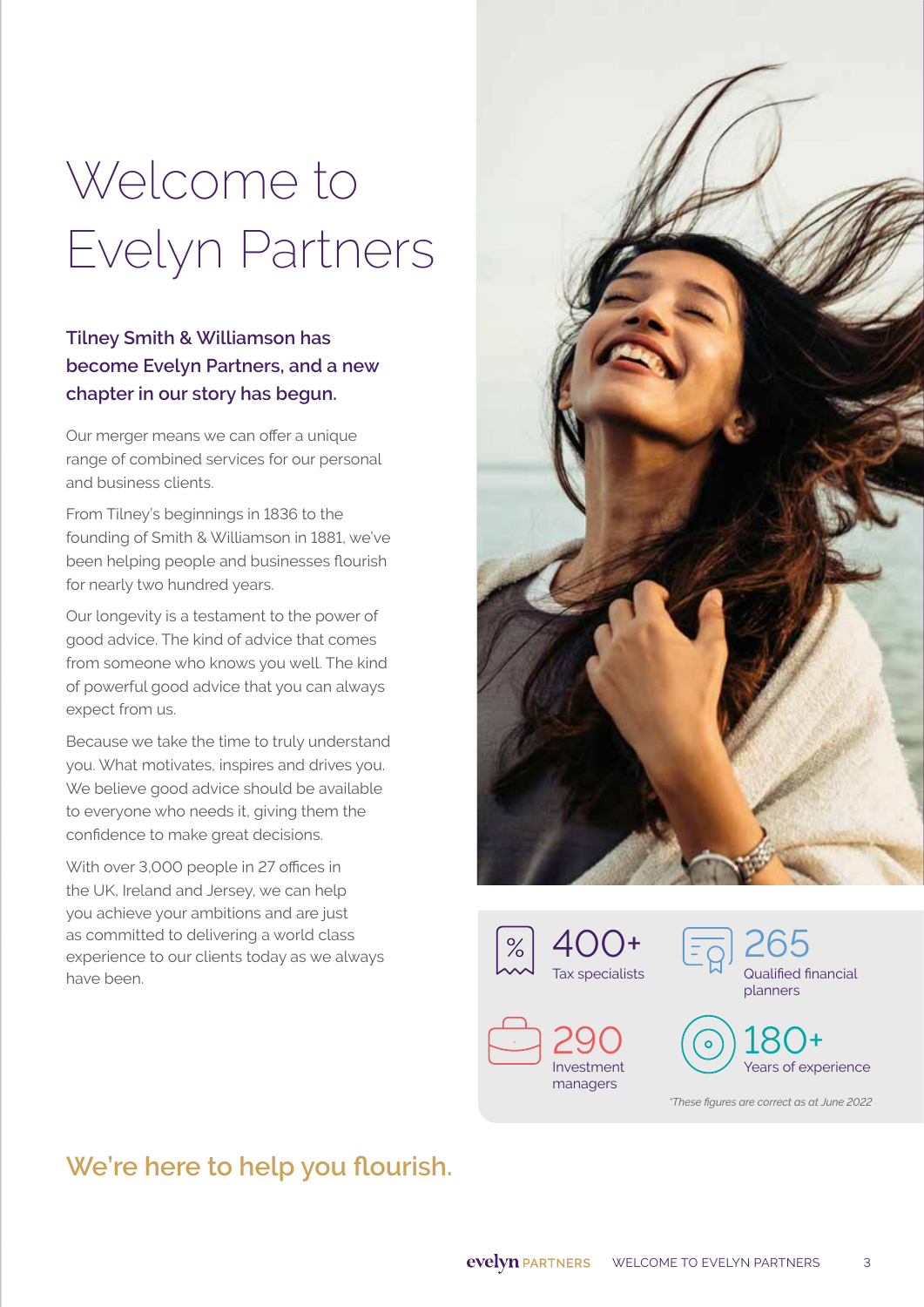# Welcome to Evelyn Partners

#### **Tilney Smith & Williamson has become Evelyn Partners, and a new chapter in our story has begun.**

Our merger means we can offer a unique range of combined services for our personal and business clients.

From Tilney's beginnings in 1836 to the founding of Smith & Williamson in 1881, we've been helping people and businesses flourish for nearly two hundred years.

Our longevity is a testament to the power of good advice. The kind of advice that comes from someone who knows you well. The kind of powerful good advice that you can always expect from us.

Because we take the time to truly understand you. What motivates, inspires and drives you. We believe good advice should be available to everyone who needs it, giving them the confidence to make great decisions.

With over 3,000 people in 27 offices in the UK, Ireland and Jersey, we can help you achieve your ambitions and are just as committed to delivering a world class experience to our clients today as we always have been.





# **We're here to help you flourish.**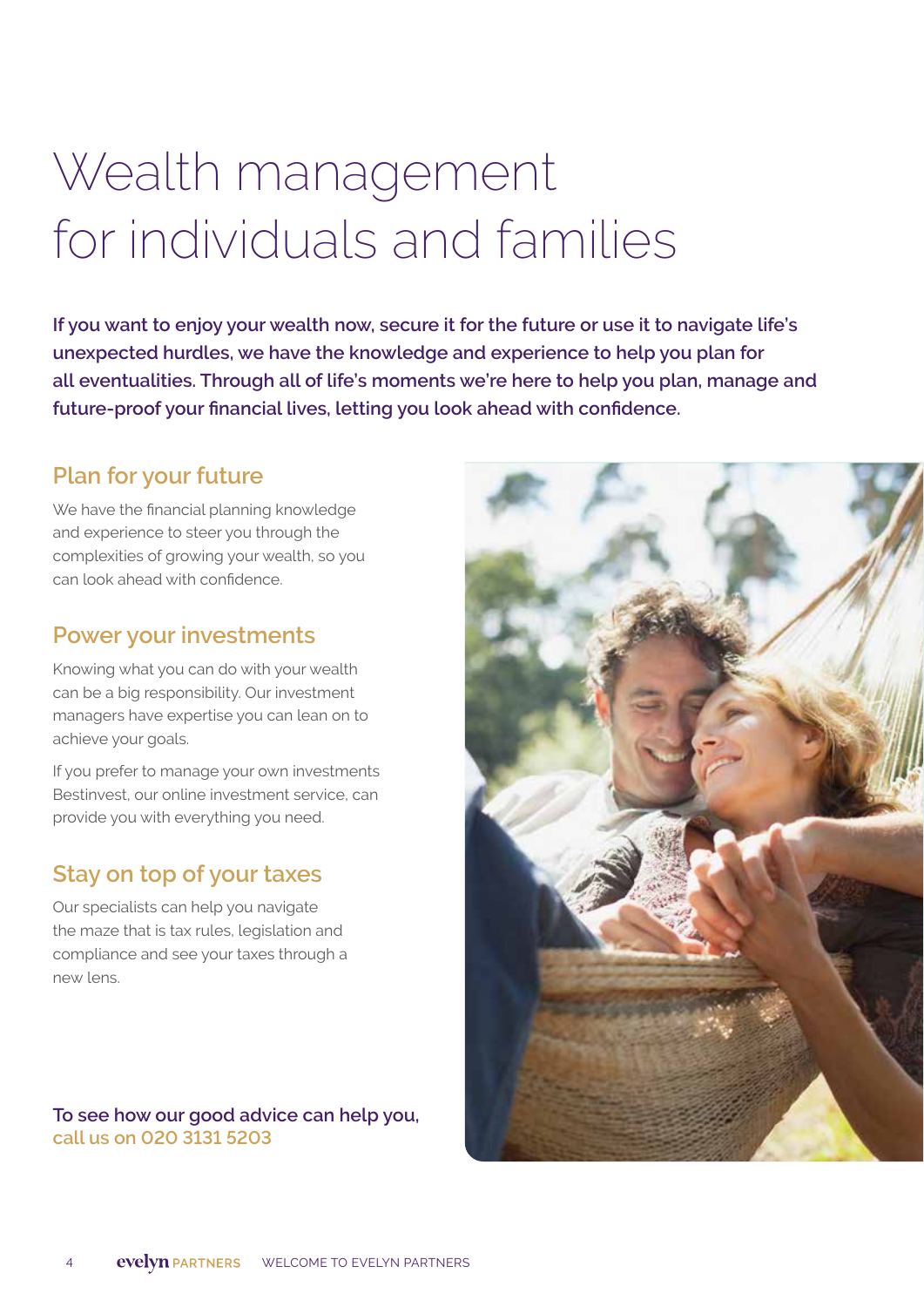# Wealth management for individuals and families

**If you want to enjoy your wealth now, secure it for the future or use it to navigate life's unexpected hurdles, we have the knowledge and experience to help you plan for all eventualities. Through all of life's moments we're here to help you plan, manage and future-proof your financial lives, letting you look ahead with confidence.**

#### **Plan for your future**

We have the financial planning knowledge and experience to steer you through the complexities of growing your wealth, so you can look ahead with confidence.

## **Power your investments**

Knowing what you can do with your wealth can be a big responsibility. Our investment managers have expertise you can lean on to achieve your goals.

If you prefer to manage your own investments Bestinvest, our online investment service, can provide you with everything you need.

### **Stay on top of your taxes**

Our specialists can help you navigate the maze that is tax rules, legislation and compliance and see your taxes through a new lens.

**To see how our good advice can help you, call us on 020 3131 5203**

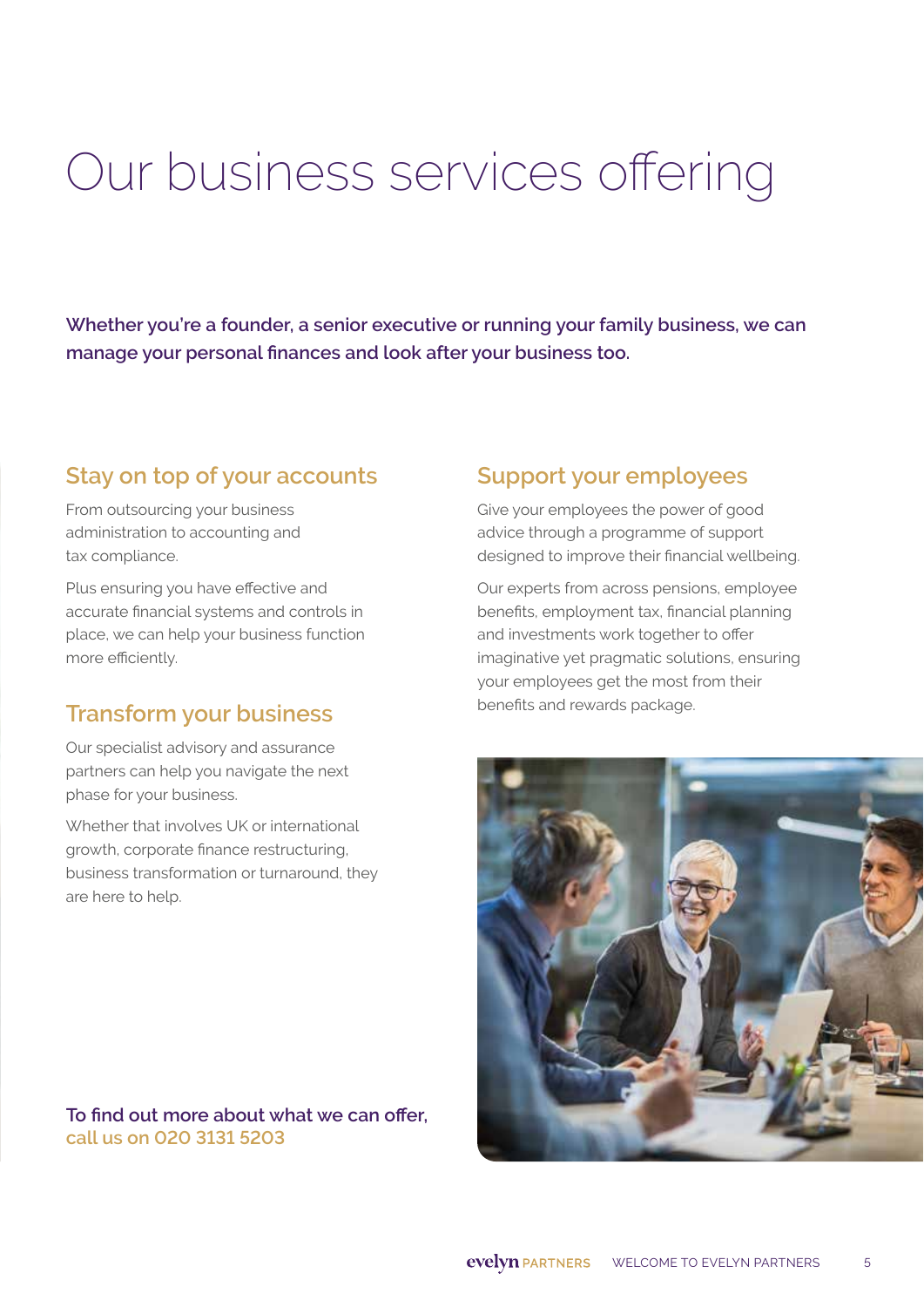# Our business services offering

**Whether you're a founder, a senior executive or running your family business, we can manage your personal finances and look after your business too.**

#### **Stay on top of your accounts**

From outsourcing your business administration to accounting and tax compliance.

Plus ensuring you have effective and accurate financial systems and controls in place, we can help your business function more efficiently.

#### **Transform your business**

Our specialist advisory and assurance partners can help you navigate the next phase for your business.

Whether that involves UK or international growth, corporate finance restructuring, business transformation or turnaround, they are here to help.

#### **To find out more about what we can offer, call us on 020 3131 5203**

## **Support your employees**

Give your employees the power of good advice through a programme of support designed to improve their financial wellbeing.

Our experts from across pensions, employee benefits, employment tax, financial planning and investments work together to offer imaginative yet pragmatic solutions, ensuring your employees get the most from their benefits and rewards package.

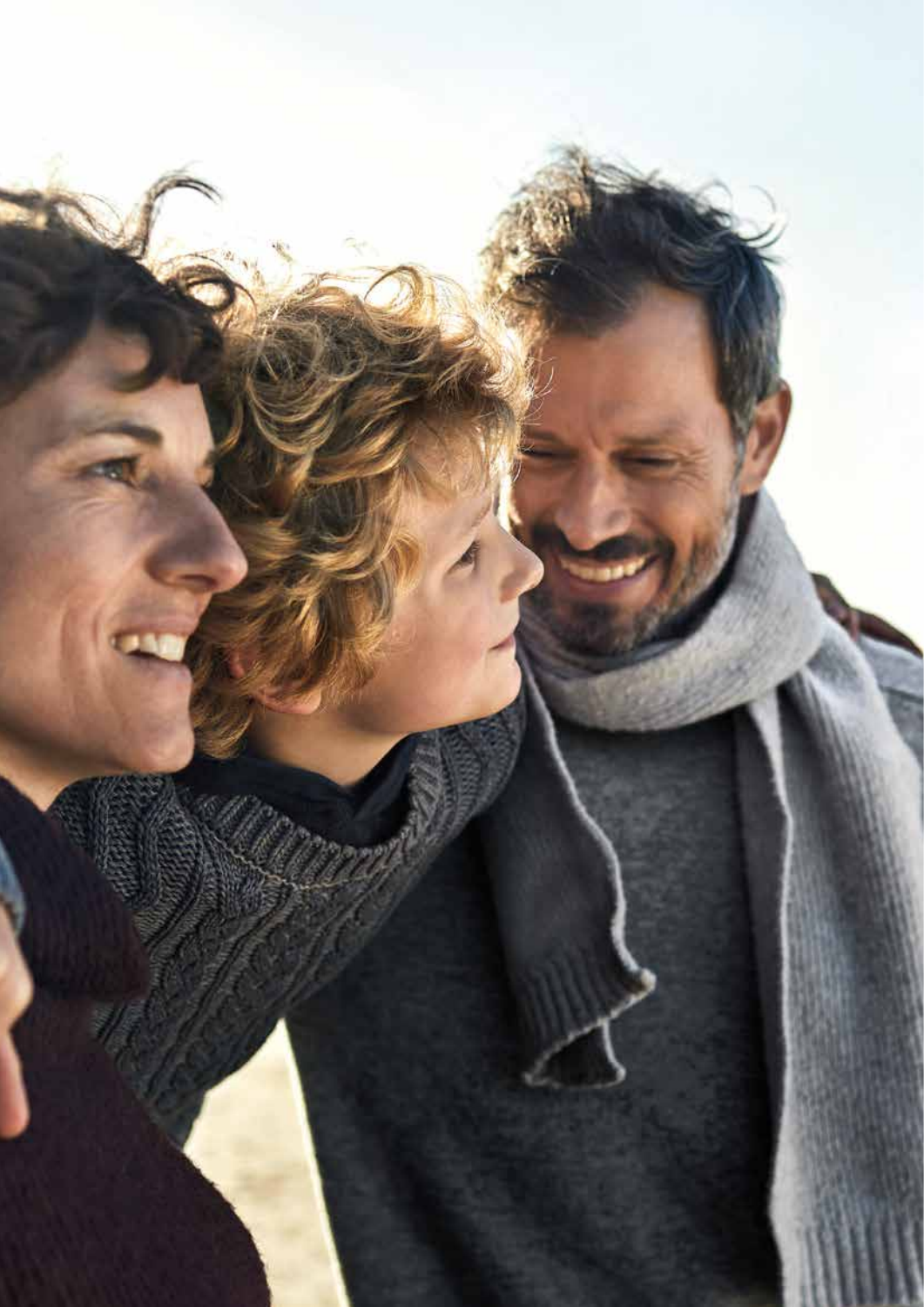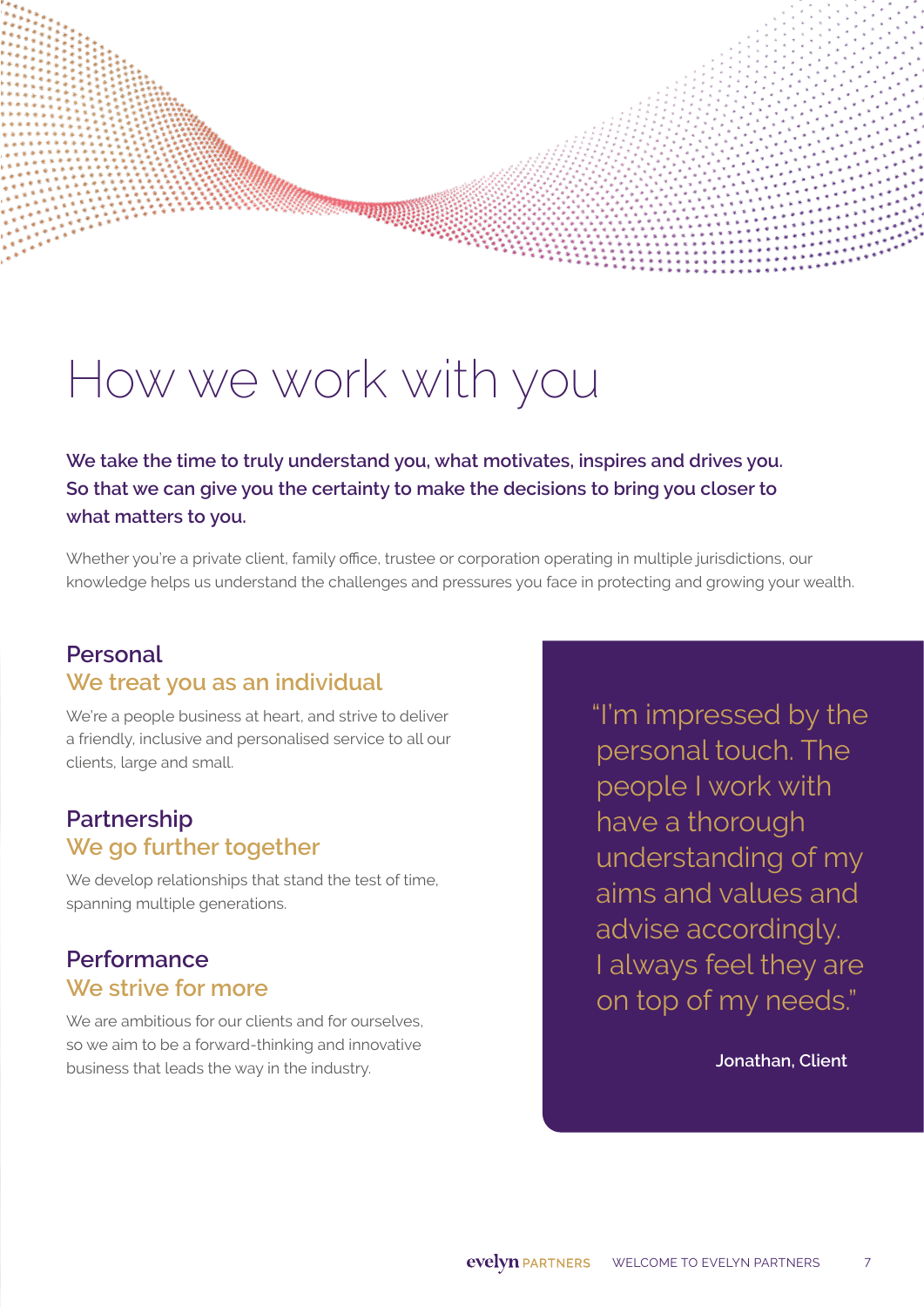# How we work with you

**We take the time to truly understand you, what motivates, inspires and drives you. So that we can give you the certainty to make the decisions to bring you closer to what matters to you.**

Whether you're a private client, family office, trustee or corporation operating in multiple jurisdictions, our knowledge helps us understand the challenges and pressures you face in protecting and growing your wealth.

#### **Personal We treat you as an individual**

We're a people business at heart, and strive to deliver a friendly, inclusive and personalised service to all our clients, large and small.

## **Partnership We go further together**

We develop relationships that stand the test of time. spanning multiple generations.

### **Performance We strive for more**

We are ambitious for our clients and for ourselves. so we aim to be a forward-thinking and innovative business that leads the way in the industry.

"I'm impressed by the personal touch. The people I work with have a thorough understanding of my aims and values and advise accordingly. I always feel they are on top of my needs."

**Jonathan, Client**